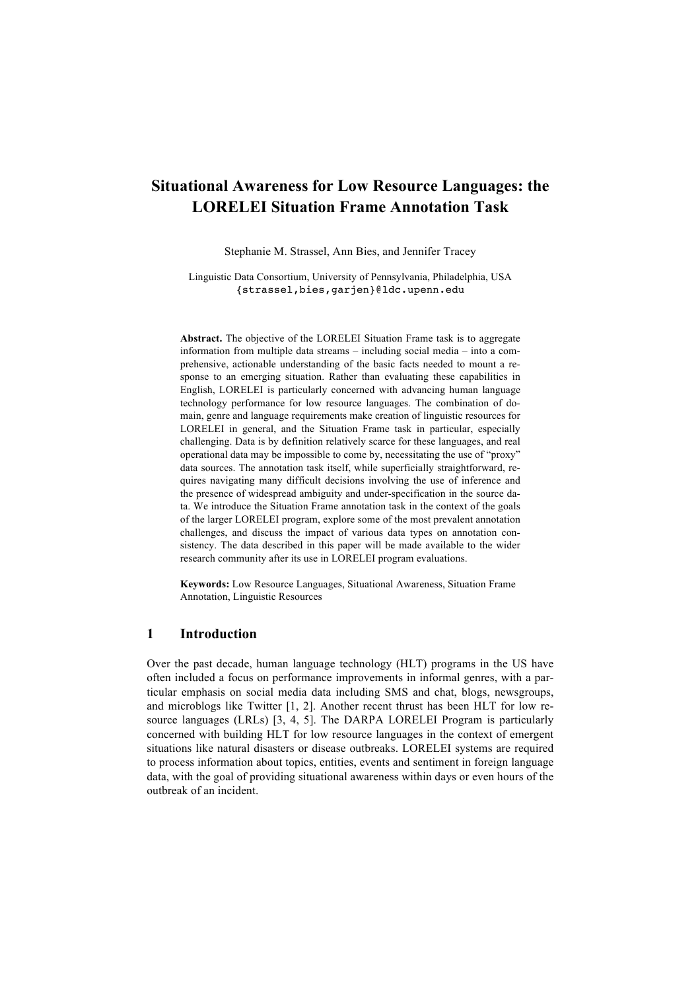# **Situational Awareness for Low Resource Languages: the LORELEI Situation Frame Annotation Task**

Stephanie M. Strassel, Ann Bies, and Jennifer Tracey

Linguistic Data Consortium, University of Pennsylvania, Philadelphia, USA {strassel,bies,garjen}@ldc.upenn.edu

**Abstract.** The objective of the LORELEI Situation Frame task is to aggregate information from multiple data streams – including social media – into a comprehensive, actionable understanding of the basic facts needed to mount a response to an emerging situation. Rather than evaluating these capabilities in English, LORELEI is particularly concerned with advancing human language technology performance for low resource languages. The combination of domain, genre and language requirements make creation of linguistic resources for LORELEI in general, and the Situation Frame task in particular, especially challenging. Data is by definition relatively scarce for these languages, and real operational data may be impossible to come by, necessitating the use of "proxy" data sources. The annotation task itself, while superficially straightforward, requires navigating many difficult decisions involving the use of inference and the presence of widespread ambiguity and under-specification in the source data. We introduce the Situation Frame annotation task in the context of the goals of the larger LORELEI program, explore some of the most prevalent annotation challenges, and discuss the impact of various data types on annotation consistency. The data described in this paper will be made available to the wider research community after its use in LORELEI program evaluations.

**Keywords:** Low Resource Languages, Situational Awareness, Situation Frame Annotation, Linguistic Resources

### **1 Introduction**

Over the past decade, human language technology (HLT) programs in the US have often included a focus on performance improvements in informal genres, with a particular emphasis on social media data including SMS and chat, blogs, newsgroups, and microblogs like Twitter [1, 2]. Another recent thrust has been HLT for low resource languages (LRLs) [3, 4, 5]. The DARPA LORELEI Program is particularly concerned with building HLT for low resource languages in the context of emergent situations like natural disasters or disease outbreaks. LORELEI systems are required to process information about topics, entities, events and sentiment in foreign language data, with the goal of providing situational awareness within days or even hours of the outbreak of an incident.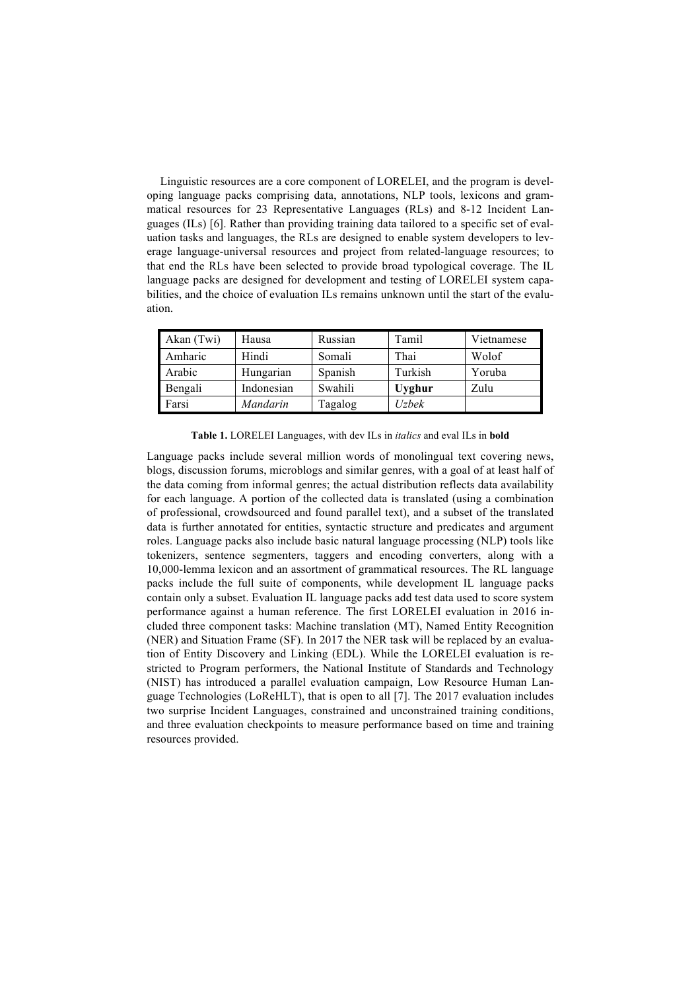Linguistic resources are a core component of LORELEI, and the program is developing language packs comprising data, annotations, NLP tools, lexicons and grammatical resources for 23 Representative Languages (RLs) and 8-12 Incident Languages (ILs) [6]. Rather than providing training data tailored to a specific set of evaluation tasks and languages, the RLs are designed to enable system developers to leverage language-universal resources and project from related-language resources; to that end the RLs have been selected to provide broad typological coverage. The IL language packs are designed for development and testing of LORELEI system capabilities, and the choice of evaluation ILs remains unknown until the start of the evaluation.

| Akan (Twi) | Hausa           | Russian | Tamil         | Vietnamese |
|------------|-----------------|---------|---------------|------------|
| Amharic    | Hindi           | Somali  | Thai          | Wolof      |
| Arabic     | Hungarian       | Spanish | Turkish       | Yoruba     |
| Bengali    | Indonesian      | Swahili | <b>Uyghur</b> | Zulu       |
| Farsi      | <i>Mandarin</i> | Tagalog | Uzbek         |            |

**Table 1.** LORELEI Languages, with dev ILs in *italics* and eval ILs in **bold**

Language packs include several million words of monolingual text covering news, blogs, discussion forums, microblogs and similar genres, with a goal of at least half of the data coming from informal genres; the actual distribution reflects data availability for each language. A portion of the collected data is translated (using a combination of professional, crowdsourced and found parallel text), and a subset of the translated data is further annotated for entities, syntactic structure and predicates and argument roles. Language packs also include basic natural language processing (NLP) tools like tokenizers, sentence segmenters, taggers and encoding converters, along with a 10,000-lemma lexicon and an assortment of grammatical resources. The RL language packs include the full suite of components, while development IL language packs contain only a subset. Evaluation IL language packs add test data used to score system performance against a human reference. The first LORELEI evaluation in 2016 included three component tasks: Machine translation (MT), Named Entity Recognition (NER) and Situation Frame (SF). In 2017 the NER task will be replaced by an evaluation of Entity Discovery and Linking (EDL). While the LORELEI evaluation is restricted to Program performers, the National Institute of Standards and Technology (NIST) has introduced a parallel evaluation campaign, Low Resource Human Language Technologies (LoReHLT), that is open to all [7]. The 2017 evaluation includes two surprise Incident Languages, constrained and unconstrained training conditions, and three evaluation checkpoints to measure performance based on time and training resources provided.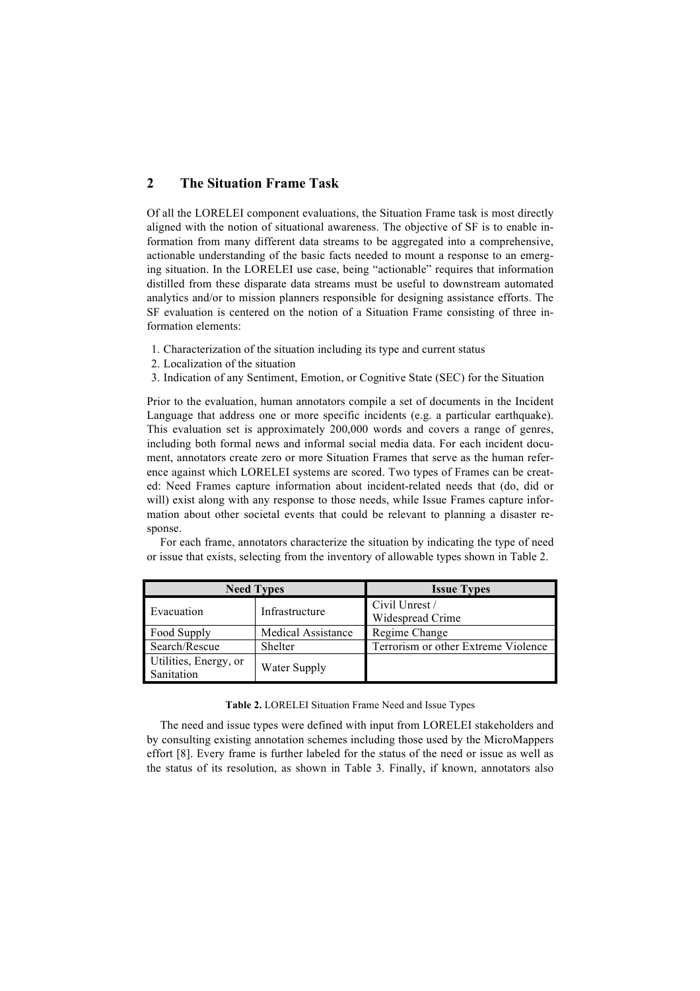# **2 The Situation Frame Task**

Of all the LORELEI component evaluations, the Situation Frame task is most directly aligned with the notion of situational awareness. The objective of SF is to enable information from many different data streams to be aggregated into a comprehensive, actionable understanding of the basic facts needed to mount a response to an emerging situation. In the LORELEI use case, being "actionable" requires that information distilled from these disparate data streams must be useful to downstream automated analytics and/or to mission planners responsible for designing assistance efforts. The SF evaluation is centered on the notion of a Situation Frame consisting of three information elements:

- 1. Characterization of the situation including its type and current status
- 2. Localization of the situation
- 3. Indication of any Sentiment, Emotion, or Cognitive State (SEC) for the Situation

Prior to the evaluation, human annotators compile a set of documents in the Incident Language that address one or more specific incidents (e.g. a particular earthquake). This evaluation set is approximately 200,000 words and covers a range of genres, including both formal news and informal social media data. For each incident document, annotators create zero or more Situation Frames that serve as the human reference against which LORELEI systems are scored. Two types of Frames can be created: Need Frames capture information about incident-related needs that (do, did or will) exist along with any response to those needs, while Issue Frames capture information about other societal events that could be relevant to planning a disaster response.

For each frame, annotators characterize the situation by indicating the type of need or issue that exists, selecting from the inventory of allowable types shown in Table 2.

|                                     | <b>Need Types</b>         | <b>Issue Types</b>                  |
|-------------------------------------|---------------------------|-------------------------------------|
| Evacuation                          | Infrastructure            | Civil Unrest /<br>Widespread Crime  |
| Food Supply                         | <b>Medical Assistance</b> | Regime Change                       |
| Search/Rescue                       | Shelter                   | Terrorism or other Extreme Violence |
| Utilities, Energy, or<br>Sanitation | Water Supply              |                                     |

**Table 2.** LORELEI Situation Frame Need and Issue Types

The need and issue types were defined with input from LORELEI stakeholders and by consulting existing annotation schemes including those used by the MicroMappers effort [8]. Every frame is further labeled for the status of the need or issue as well as the status of its resolution, as shown in Table 3. Finally, if known, annotators also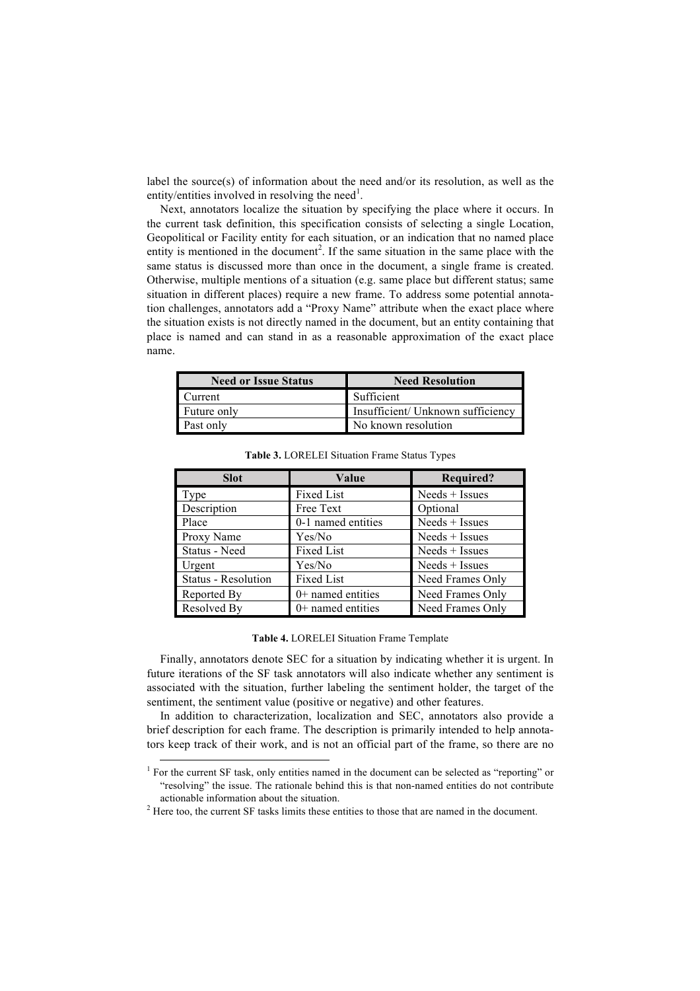label the source(s) of information about the need and/or its resolution, as well as the entity/entities involved in resolving the need<sup>1</sup>.

Next, annotators localize the situation by specifying the place where it occurs. In the current task definition, this specification consists of selecting a single Location, Geopolitical or Facility entity for each situation, or an indication that no named place entity is mentioned in the document<sup>2</sup>. If the same situation in the same place with the same status is discussed more than once in the document, a single frame is created. Otherwise, multiple mentions of a situation (e.g. same place but different status; same situation in different places) require a new frame. To address some potential annotation challenges, annotators add a "Proxy Name" attribute when the exact place where the situation exists is not directly named in the document, but an entity containing that place is named and can stand in as a reasonable approximation of the exact place name.

| <b>Need or Issue Status</b> | <b>Need Resolution</b>            |  |
|-----------------------------|-----------------------------------|--|
| Current                     | Sufficient                        |  |
| Future only                 | Insufficient/ Unknown sufficiency |  |
| Past only                   | No known resolution               |  |

| <b>Slot</b>         | Value               | <b>Required?</b> |
|---------------------|---------------------|------------------|
| Type                | <b>Fixed List</b>   | Needs + Issues   |
| Description         | Free Text           | Optional         |
| Place               | 0-1 named entities  | $Neds + Issues$  |
| Proxy Name          | Yes/No              | $Nedes + Issues$ |
| Status - Need       | <b>Fixed List</b>   | $Nedes + Issues$ |
| Urgent              | Yes/No              | $Neds + Issues$  |
| Status - Resolution | <b>Fixed List</b>   | Need Frames Only |
| Reported By         | $0+$ named entities | Need Frames Only |
| Resolved By         | $0+$ named entities | Need Frames Only |

**Table 3.** LORELEI Situation Frame Status Types

#### **Table 4.** LORELEI Situation Frame Template

Finally, annotators denote SEC for a situation by indicating whether it is urgent. In future iterations of the SF task annotators will also indicate whether any sentiment is associated with the situation, further labeling the sentiment holder, the target of the sentiment, the sentiment value (positive or negative) and other features.

In addition to characterization, localization and SEC, annotators also provide a brief description for each frame. The description is primarily intended to help annotators keep track of their work, and is not an official part of the frame, so there are no

<sup>&</sup>lt;sup>1</sup> For the current SF task, only entities named in the document can be selected as "reporting" or "resolving" the issue. The rationale behind this is that non-named entities do not contribute actionable information about the situation.

<sup>&</sup>lt;sup>2</sup> Here too, the current SF tasks limits these entities to those that are named in the document.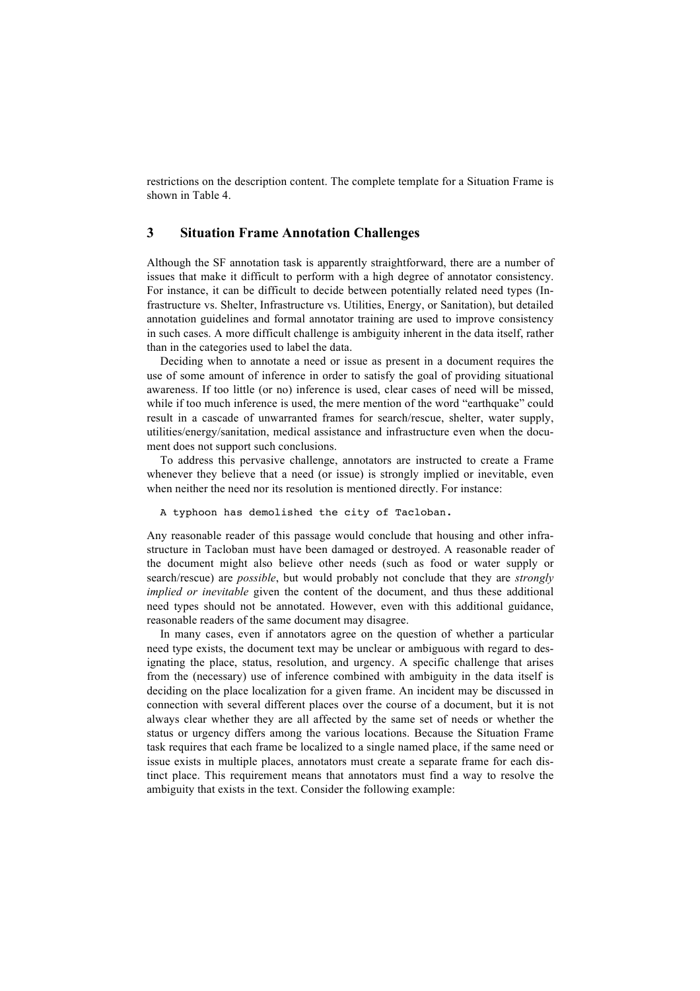restrictions on the description content. The complete template for a Situation Frame is shown in Table 4.

### **3 Situation Frame Annotation Challenges**

Although the SF annotation task is apparently straightforward, there are a number of issues that make it difficult to perform with a high degree of annotator consistency. For instance, it can be difficult to decide between potentially related need types (Infrastructure vs. Shelter, Infrastructure vs. Utilities, Energy, or Sanitation), but detailed annotation guidelines and formal annotator training are used to improve consistency in such cases. A more difficult challenge is ambiguity inherent in the data itself, rather than in the categories used to label the data.

Deciding when to annotate a need or issue as present in a document requires the use of some amount of inference in order to satisfy the goal of providing situational awareness. If too little (or no) inference is used, clear cases of need will be missed, while if too much inference is used, the mere mention of the word "earthquake" could result in a cascade of unwarranted frames for search/rescue, shelter, water supply, utilities/energy/sanitation, medical assistance and infrastructure even when the document does not support such conclusions.

To address this pervasive challenge, annotators are instructed to create a Frame whenever they believe that a need (or issue) is strongly implied or inevitable, even when neither the need nor its resolution is mentioned directly. For instance:

A typhoon has demolished the city of Tacloban.

Any reasonable reader of this passage would conclude that housing and other infrastructure in Tacloban must have been damaged or destroyed. A reasonable reader of the document might also believe other needs (such as food or water supply or search/rescue) are *possible*, but would probably not conclude that they are *strongly implied or inevitable* given the content of the document, and thus these additional need types should not be annotated. However, even with this additional guidance, reasonable readers of the same document may disagree.

In many cases, even if annotators agree on the question of whether a particular need type exists, the document text may be unclear or ambiguous with regard to designating the place, status, resolution, and urgency. A specific challenge that arises from the (necessary) use of inference combined with ambiguity in the data itself is deciding on the place localization for a given frame. An incident may be discussed in connection with several different places over the course of a document, but it is not always clear whether they are all affected by the same set of needs or whether the status or urgency differs among the various locations. Because the Situation Frame task requires that each frame be localized to a single named place, if the same need or issue exists in multiple places, annotators must create a separate frame for each distinct place. This requirement means that annotators must find a way to resolve the ambiguity that exists in the text. Consider the following example: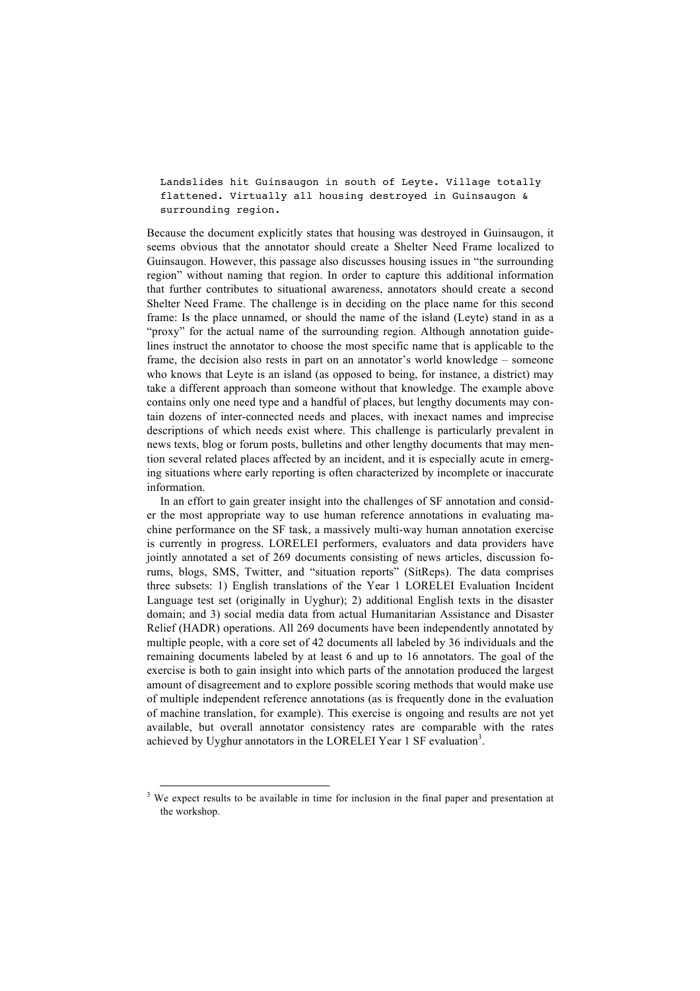Landslides hit Guinsaugon in south of Leyte. Village totally flattened. Virtually all housing destroyed in Guinsaugon & surrounding region.

Because the document explicitly states that housing was destroyed in Guinsaugon, it seems obvious that the annotator should create a Shelter Need Frame localized to Guinsaugon. However, this passage also discusses housing issues in "the surrounding region" without naming that region. In order to capture this additional information that further contributes to situational awareness, annotators should create a second Shelter Need Frame. The challenge is in deciding on the place name for this second frame: Is the place unnamed, or should the name of the island (Leyte) stand in as a "proxy" for the actual name of the surrounding region. Although annotation guidelines instruct the annotator to choose the most specific name that is applicable to the frame, the decision also rests in part on an annotator's world knowledge – someone who knows that Leyte is an island (as opposed to being, for instance, a district) may take a different approach than someone without that knowledge. The example above contains only one need type and a handful of places, but lengthy documents may contain dozens of inter-connected needs and places, with inexact names and imprecise descriptions of which needs exist where. This challenge is particularly prevalent in news texts, blog or forum posts, bulletins and other lengthy documents that may mention several related places affected by an incident, and it is especially acute in emerging situations where early reporting is often characterized by incomplete or inaccurate information.

In an effort to gain greater insight into the challenges of SF annotation and consider the most appropriate way to use human reference annotations in evaluating machine performance on the SF task, a massively multi-way human annotation exercise is currently in progress. LORELEI performers, evaluators and data providers have jointly annotated a set of 269 documents consisting of news articles, discussion forums, blogs, SMS, Twitter, and "situation reports" (SitReps). The data comprises three subsets: 1) English translations of the Year 1 LORELEI Evaluation Incident Language test set (originally in Uyghur); 2) additional English texts in the disaster domain; and 3) social media data from actual Humanitarian Assistance and Disaster Relief (HADR) operations. All 269 documents have been independently annotated by multiple people, with a core set of 42 documents all labeled by 36 individuals and the remaining documents labeled by at least 6 and up to 16 annotators. The goal of the exercise is both to gain insight into which parts of the annotation produced the largest amount of disagreement and to explore possible scoring methods that would make use of multiple independent reference annotations (as is frequently done in the evaluation of machine translation, for example). This exercise is ongoing and results are not yet available, but overall annotator consistency rates are comparable with the rates achieved by Uyghur annotators in the LORELEI Year 1 SF evaluation<sup>3</sup>.

<sup>&</sup>lt;sup>3</sup> We expect results to be available in time for inclusion in the final paper and presentation at the workshop.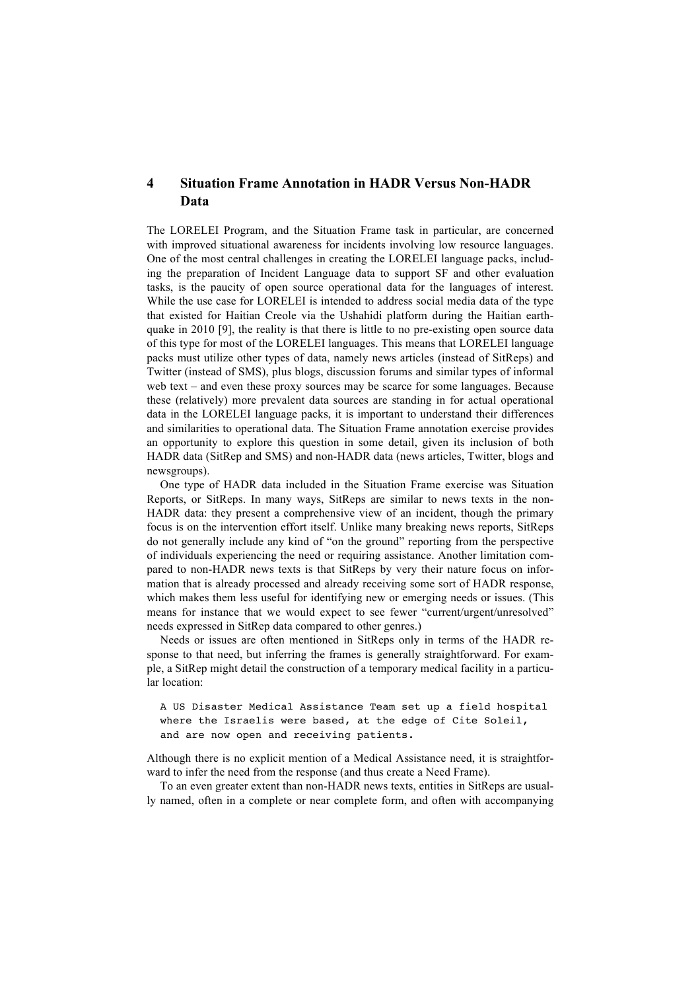# **4 Situation Frame Annotation in HADR Versus Non-HADR Data**

The LORELEI Program, and the Situation Frame task in particular, are concerned with improved situational awareness for incidents involving low resource languages. One of the most central challenges in creating the LORELEI language packs, including the preparation of Incident Language data to support SF and other evaluation tasks, is the paucity of open source operational data for the languages of interest. While the use case for LORELEI is intended to address social media data of the type that existed for Haitian Creole via the Ushahidi platform during the Haitian earthquake in 2010 [9], the reality is that there is little to no pre-existing open source data of this type for most of the LORELEI languages. This means that LORELEI language packs must utilize other types of data, namely news articles (instead of SitReps) and Twitter (instead of SMS), plus blogs, discussion forums and similar types of informal web text – and even these proxy sources may be scarce for some languages. Because these (relatively) more prevalent data sources are standing in for actual operational data in the LORELEI language packs, it is important to understand their differences and similarities to operational data. The Situation Frame annotation exercise provides an opportunity to explore this question in some detail, given its inclusion of both HADR data (SitRep and SMS) and non-HADR data (news articles, Twitter, blogs and newsgroups).

One type of HADR data included in the Situation Frame exercise was Situation Reports, or SitReps. In many ways, SitReps are similar to news texts in the non-HADR data: they present a comprehensive view of an incident, though the primary focus is on the intervention effort itself. Unlike many breaking news reports, SitReps do not generally include any kind of "on the ground" reporting from the perspective of individuals experiencing the need or requiring assistance. Another limitation compared to non-HADR news texts is that SitReps by very their nature focus on information that is already processed and already receiving some sort of HADR response, which makes them less useful for identifying new or emerging needs or issues. (This means for instance that we would expect to see fewer "current/urgent/unresolved" needs expressed in SitRep data compared to other genres.)

Needs or issues are often mentioned in SitReps only in terms of the HADR response to that need, but inferring the frames is generally straightforward. For example, a SitRep might detail the construction of a temporary medical facility in a particular location:

```
A US Disaster Medical Assistance Team set up a field hospital 
where the Israelis were based, at the edge of Cite Soleil, 
and are now open and receiving patients.
```
Although there is no explicit mention of a Medical Assistance need, it is straightforward to infer the need from the response (and thus create a Need Frame).

To an even greater extent than non-HADR news texts, entities in SitReps are usually named, often in a complete or near complete form, and often with accompanying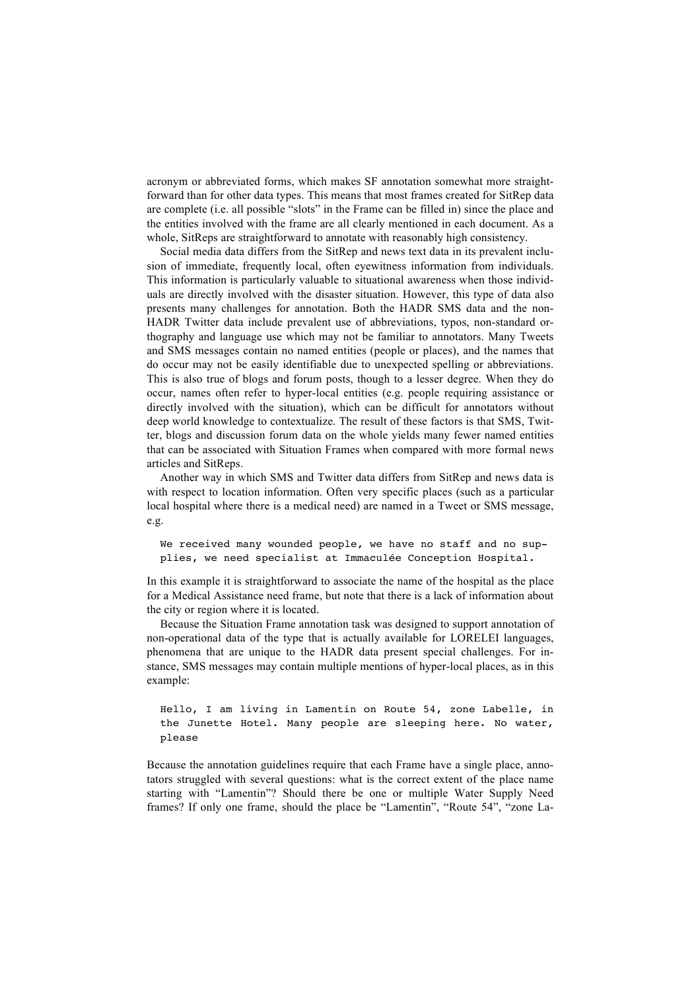acronym or abbreviated forms, which makes SF annotation somewhat more straightforward than for other data types. This means that most frames created for SitRep data are complete (i.e. all possible "slots" in the Frame can be filled in) since the place and the entities involved with the frame are all clearly mentioned in each document. As a whole, SitReps are straightforward to annotate with reasonably high consistency.

Social media data differs from the SitRep and news text data in its prevalent inclusion of immediate, frequently local, often eyewitness information from individuals. This information is particularly valuable to situational awareness when those individuals are directly involved with the disaster situation. However, this type of data also presents many challenges for annotation. Both the HADR SMS data and the non-HADR Twitter data include prevalent use of abbreviations, typos, non-standard orthography and language use which may not be familiar to annotators. Many Tweets and SMS messages contain no named entities (people or places), and the names that do occur may not be easily identifiable due to unexpected spelling or abbreviations. This is also true of blogs and forum posts, though to a lesser degree. When they do occur, names often refer to hyper-local entities (e.g. people requiring assistance or directly involved with the situation), which can be difficult for annotators without deep world knowledge to contextualize. The result of these factors is that SMS, Twitter, blogs and discussion forum data on the whole yields many fewer named entities that can be associated with Situation Frames when compared with more formal news articles and SitReps.

Another way in which SMS and Twitter data differs from SitRep and news data is with respect to location information. Often very specific places (such as a particular local hospital where there is a medical need) are named in a Tweet or SMS message, e.g.

We received many wounded people, we have no staff and no supplies, we need specialist at Immaculée Conception Hospital.

In this example it is straightforward to associate the name of the hospital as the place for a Medical Assistance need frame, but note that there is a lack of information about the city or region where it is located.

Because the Situation Frame annotation task was designed to support annotation of non-operational data of the type that is actually available for LORELEI languages, phenomena that are unique to the HADR data present special challenges. For instance, SMS messages may contain multiple mentions of hyper-local places, as in this example:

```
Hello, I am living in Lamentin on Route 54, zone Labelle, in 
the Junette Hotel. Many people are sleeping here. No water,
please
```
Because the annotation guidelines require that each Frame have a single place, annotators struggled with several questions: what is the correct extent of the place name starting with "Lamentin"? Should there be one or multiple Water Supply Need frames? If only one frame, should the place be "Lamentin", "Route 54", "zone La-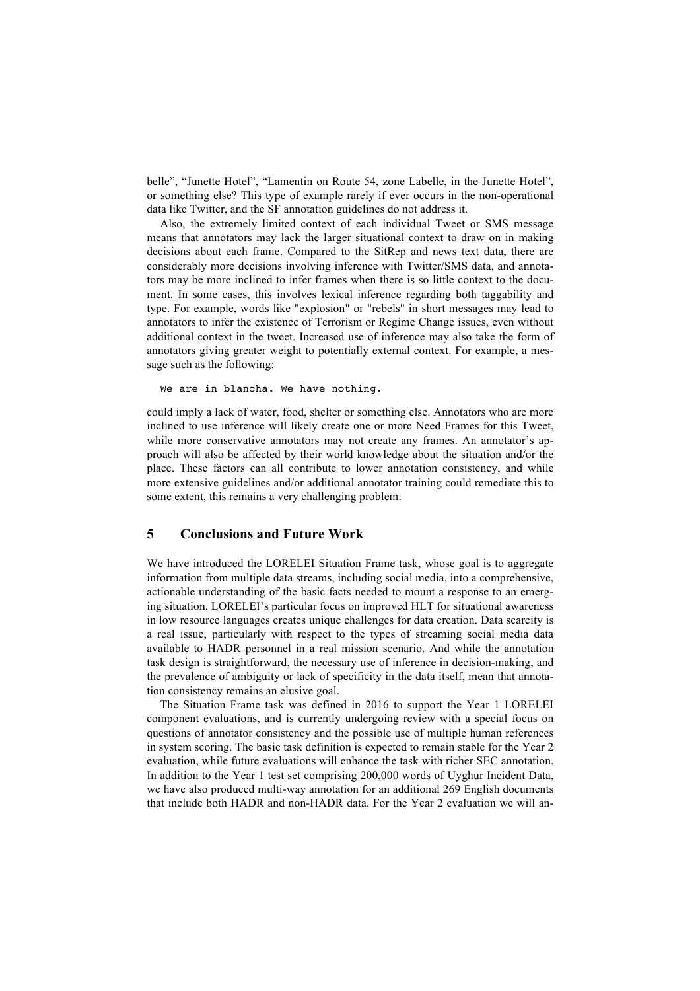belle", "Junette Hotel", "Lamentin on Route 54, zone Labelle, in the Junette Hotel", or something else? This type of example rarely if ever occurs in the non-operational data like Twitter, and the SF annotation guidelines do not address it.

Also, the extremely limited context of each individual Tweet or SMS message means that annotators may lack the larger situational context to draw on in making decisions about each frame. Compared to the SitRep and news text data, there are considerably more decisions involving inference with Twitter/SMS data, and annotators may be more inclined to infer frames when there is so little context to the document. In some cases, this involves lexical inference regarding both taggability and type. For example, words like "explosion" or "rebels" in short messages may lead to annotators to infer the existence of Terrorism or Regime Change issues, even without additional context in the tweet. Increased use of inference may also take the form of annotators giving greater weight to potentially external context. For example, a message such as the following:

We are in blancha. We have nothing.

could imply a lack of water, food, shelter or something else. Annotators who are more inclined to use inference will likely create one or more Need Frames for this Tweet, while more conservative annotators may not create any frames. An annotator's approach will also be affected by their world knowledge about the situation and/or the place. These factors can all contribute to lower annotation consistency, and while more extensive guidelines and/or additional annotator training could remediate this to some extent, this remains a very challenging problem.

## **5 Conclusions and Future Work**

We have introduced the LORELEI Situation Frame task, whose goal is to aggregate information from multiple data streams, including social media, into a comprehensive, actionable understanding of the basic facts needed to mount a response to an emerging situation. LORELEI's particular focus on improved HLT for situational awareness in low resource languages creates unique challenges for data creation. Data scarcity is a real issue, particularly with respect to the types of streaming social media data available to HADR personnel in a real mission scenario. And while the annotation task design is straightforward, the necessary use of inference in decision-making, and the prevalence of ambiguity or lack of specificity in the data itself, mean that annotation consistency remains an elusive goal.

The Situation Frame task was defined in 2016 to support the Year 1 LORELEI component evaluations, and is currently undergoing review with a special focus on questions of annotator consistency and the possible use of multiple human references in system scoring. The basic task definition is expected to remain stable for the Year 2 evaluation, while future evaluations will enhance the task with richer SEC annotation. In addition to the Year 1 test set comprising 200,000 words of Uyghur Incident Data, we have also produced multi-way annotation for an additional 269 English documents that include both HADR and non-HADR data. For the Year 2 evaluation we will an